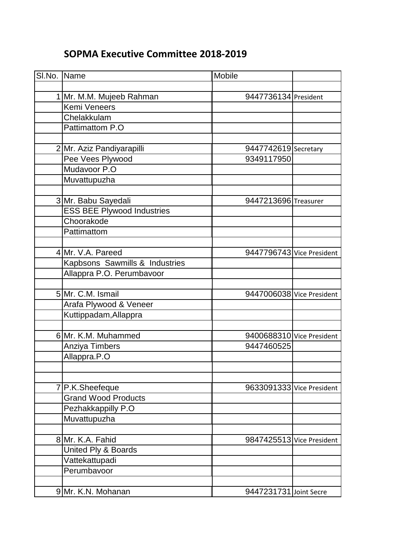## **SOPMA Executive Committee 2018-2019**

| SI.No. Name |                                   | Mobile                    |  |
|-------------|-----------------------------------|---------------------------|--|
|             |                                   |                           |  |
|             | 1 Mr. M.M. Mujeeb Rahman          | 9447736134 President      |  |
|             | <b>Kemi Veneers</b>               |                           |  |
|             | Chelakkulam                       |                           |  |
|             | Pattimattom P.O                   |                           |  |
|             |                                   |                           |  |
|             | 2 Mr. Aziz Pandiyarapilli         | 9447742619 Secretary      |  |
|             | Pee Vees Plywood                  | 9349117950                |  |
|             | Mudavoor P.O                      |                           |  |
|             | Muvattupuzha                      |                           |  |
|             |                                   |                           |  |
|             | 3 Mr. Babu Sayedali               | 9447213696 Treasurer      |  |
|             | <b>ESS BEE Plywood Industries</b> |                           |  |
|             | Choorakode                        |                           |  |
|             | Pattimattom                       |                           |  |
|             |                                   |                           |  |
|             | 4 Mr. V.A. Pareed                 | 9447796743 Vice President |  |
|             | Kapbsons Sawmills & Industries    |                           |  |
|             | Allappra P.O. Perumbavoor         |                           |  |
|             |                                   |                           |  |
|             | 5 Mr. C.M. Ismail                 | 9447006038 Vice President |  |
|             | Arafa Plywood & Veneer            |                           |  |
|             | Kuttippadam, Allappra             |                           |  |
|             |                                   |                           |  |
|             | 6 Mr. K.M. Muhammed               | 9400688310 Vice President |  |
|             | Anziya Timbers                    | 9447460525                |  |
|             | Allappra.P.O                      |                           |  |
|             |                                   |                           |  |
|             |                                   |                           |  |
|             | 7 P.K.Sheefeque                   | 9633091333 Vice President |  |
|             | <b>Grand Wood Products</b>        |                           |  |
|             | Pezhakkappilly P.O                |                           |  |
|             | Muvattupuzha                      |                           |  |
|             |                                   |                           |  |
|             | 8 Mr. K.A. Fahid                  | 9847425513 Vice President |  |
|             | United Ply & Boards               |                           |  |
|             | Vattekattupadi                    |                           |  |
|             | Perumbavoor                       |                           |  |
|             |                                   |                           |  |
|             | 9 Mr. K.N. Mohanan                | 9447231731 Joint Secre    |  |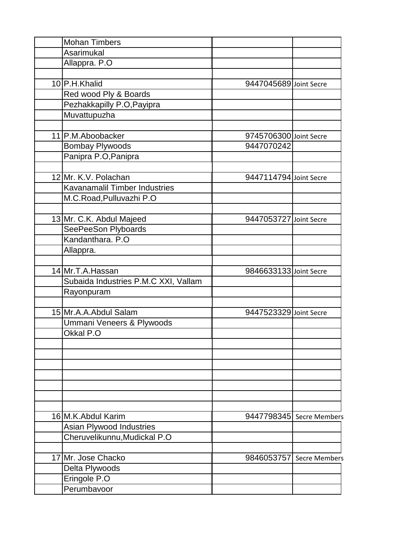| <b>Mohan Timbers</b>                 |                        |                          |
|--------------------------------------|------------------------|--------------------------|
| Asarimukal                           |                        |                          |
| Allappra. P.O                        |                        |                          |
|                                      |                        |                          |
| 10 P.H.Khalid                        | 9447045689 Joint Secre |                          |
| Red wood Ply & Boards                |                        |                          |
| Pezhakkapilly P.O, Payipra           |                        |                          |
| Muvattupuzha                         |                        |                          |
|                                      |                        |                          |
| 11 P.M. Aboobacker                   | 9745706300 Joint Secre |                          |
| <b>Bombay Plywoods</b>               | 9447070242             |                          |
| Panipra P.O, Panipra                 |                        |                          |
|                                      |                        |                          |
| 12 Mr. K.V. Polachan                 | 9447114794 Joint Secre |                          |
| Kavanamalil Timber Industries        |                        |                          |
| M.C.Road, Pulluvazhi P.O             |                        |                          |
|                                      |                        |                          |
| 13 Mr. C.K. Abdul Majeed             | 9447053727 Joint Secre |                          |
| SeePeeSon Plyboards                  |                        |                          |
| Kandanthara. P.O                     |                        |                          |
| Allappra.                            |                        |                          |
|                                      |                        |                          |
| 14 Mr.T.A. Hassan                    | 9846633133 Joint Secre |                          |
| Subaida Industries P.M.C XXI, Vallam |                        |                          |
| Rayonpuram                           |                        |                          |
|                                      |                        |                          |
| 15 Mr.A.A.Abdul Salam                | 9447523329 Joint Secre |                          |
| Ummani Veneers & Plywoods            |                        |                          |
| Okkal P.O                            |                        |                          |
|                                      |                        |                          |
|                                      |                        |                          |
|                                      |                        |                          |
|                                      |                        |                          |
|                                      |                        |                          |
|                                      |                        |                          |
|                                      |                        |                          |
| 16 M.K. Abdul Karim                  |                        | 9447798345 Secre Members |
| Asian Plywood Industries             |                        |                          |
| Cheruvelikunnu, Mudickal P.O         |                        |                          |
|                                      |                        |                          |
| 17 Mr. Jose Chacko                   |                        | 9846053757 Secre Members |
| Delta Plywoods                       |                        |                          |
| Eringole P.O                         |                        |                          |
| Perumbavoor                          |                        |                          |
|                                      |                        |                          |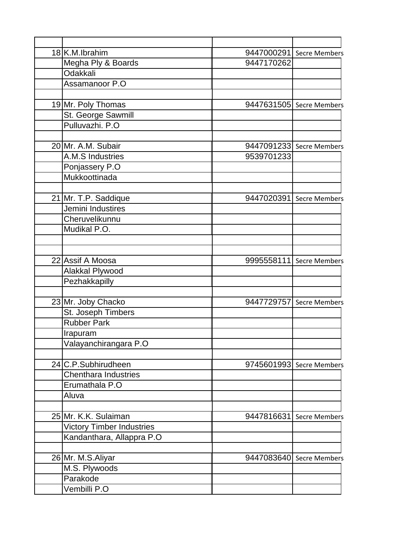| 18K.M.Ibrahim                    |            | 9447000291 Secre Members |
|----------------------------------|------------|--------------------------|
| Megha Ply & Boards               | 9447170262 |                          |
| Odakkali                         |            |                          |
| Assamanoor P.O                   |            |                          |
|                                  |            |                          |
| 19 Mr. Poly Thomas               |            | 9447631505 Secre Members |
| St. George Sawmill               |            |                          |
| Pulluvazhi. P.O                  |            |                          |
|                                  |            |                          |
| 20 Mr. A.M. Subair               |            | 9447091233 Secre Members |
| A.M.S Industries                 | 9539701233 |                          |
| Ponjassery P.O                   |            |                          |
| Mukkoottinada                    |            |                          |
|                                  |            |                          |
| 21 Mr. T.P. Saddique             |            | 9447020391 Secre Members |
| Jemini Industires                |            |                          |
| Cheruvelikunnu                   |            |                          |
| Mudikal P.O.                     |            |                          |
|                                  |            |                          |
|                                  |            |                          |
| 22 Assif A Moosa                 |            | 9995558111 Secre Members |
| Alakkal Plywood                  |            |                          |
| Pezhakkapilly                    |            |                          |
|                                  |            |                          |
| 23 Mr. Joby Chacko               |            | 9447729757 Secre Members |
| St. Joseph Timbers               |            |                          |
| <b>Rubber Park</b>               |            |                          |
| Irapuram                         |            |                          |
| Valayanchirangara P.O            |            |                          |
|                                  |            |                          |
| 24 C.P.Subhirudheen              |            | 9745601993 Secre Members |
| <b>Chenthara Industries</b>      |            |                          |
| Erumathala P.O                   |            |                          |
| Aluva                            |            |                          |
| 25 Mr. K.K. Sulaiman             | 9447816631 | <b>Secre Members</b>     |
| <b>Victory Timber Industries</b> |            |                          |
| Kandanthara, Allappra P.O        |            |                          |
|                                  |            |                          |
| 26 Mr. M.S. Aliyar               |            | 9447083640 Secre Members |
| M.S. Plywoods                    |            |                          |
| Parakode                         |            |                          |
| Vembilli P.O                     |            |                          |
|                                  |            |                          |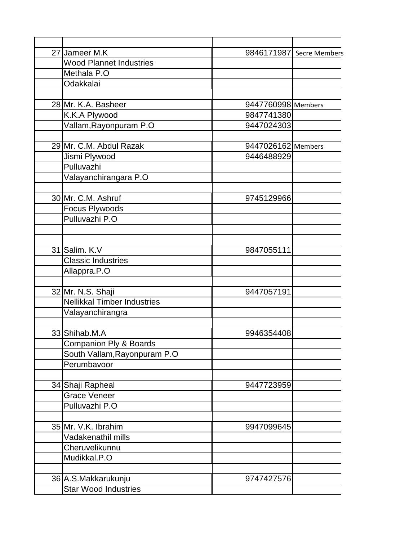| 27 Jameer M.K                      |                    | 9846171987 Secre Members |
|------------------------------------|--------------------|--------------------------|
| <b>Wood Plannet Industries</b>     |                    |                          |
| Methala P.O                        |                    |                          |
| Odakkalai                          |                    |                          |
|                                    |                    |                          |
| 28 Mr. K.A. Basheer                | 9447760998 Members |                          |
| K.K.A Plywood                      | 9847741380         |                          |
| Vallam, Rayonpuram P.O             | 9447024303         |                          |
|                                    |                    |                          |
| 29 Mr. C.M. Abdul Razak            | 9447026162 Members |                          |
| Jismi Plywood                      | 9446488929         |                          |
| Pulluvazhi                         |                    |                          |
| Valayanchirangara P.O              |                    |                          |
|                                    |                    |                          |
| 30 Mr. C.M. Ashruf                 | 9745129966         |                          |
| Focus Plywoods                     |                    |                          |
| Pulluvazhi P.O                     |                    |                          |
|                                    |                    |                          |
|                                    |                    |                          |
| 31 Salim. K.V                      | 9847055111         |                          |
| <b>Classic Industries</b>          |                    |                          |
| Allappra.P.O                       |                    |                          |
| 32 Mr. N.S. Shaji                  | 9447057191         |                          |
| <b>Nellikkal Timber Industries</b> |                    |                          |
| Valayanchirangra                   |                    |                          |
|                                    |                    |                          |
| 33 Shihab.M.A                      | 9946354408         |                          |
| Companion Ply & Boards             |                    |                          |
| South Vallam, Rayonpuram P.O       |                    |                          |
| Perumbavoor                        |                    |                          |
|                                    |                    |                          |
| 34 Shaji Rapheal                   | 9447723959         |                          |
| <b>Grace Veneer</b>                |                    |                          |
| Pulluvazhi P.O                     |                    |                          |
|                                    |                    |                          |
| 35 Mr. V.K. Ibrahim                | 9947099645         |                          |
| Vadakenathil mills                 |                    |                          |
| Cheruvelikunnu                     |                    |                          |
| Mudikkal.P.O                       |                    |                          |
|                                    |                    |                          |
| 36 A.S. Makkarukunju               | 9747427576         |                          |
| <b>Star Wood Industries</b>        |                    |                          |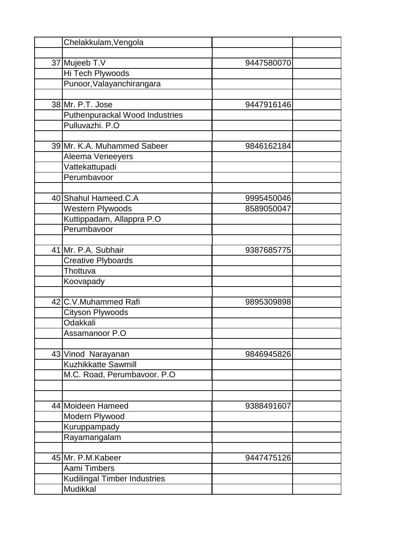| Chelakkulam, Vengola                |            |  |
|-------------------------------------|------------|--|
|                                     |            |  |
| 37 Mujeeb T.V                       | 9447580070 |  |
| <b>Hi Tech Plywoods</b>             |            |  |
| Punoor, Valayanchirangara           |            |  |
|                                     |            |  |
| 38 Mr. P.T. Jose                    | 9447916146 |  |
| Puthenpurackal Wood Industries      |            |  |
| Pulluvazhi. P.O                     |            |  |
|                                     |            |  |
| 39 Mr. K.A. Muhammed Sabeer         | 9846162184 |  |
| Aleema Veneeyers                    |            |  |
| Vattekattupadi                      |            |  |
| Perumbavoor                         |            |  |
|                                     |            |  |
| 40 Shahul Hameed.C.A                | 9995450046 |  |
| Western Plywoods                    | 8589050047 |  |
| Kuttippadam, Allappra P.O           |            |  |
| Perumbavoor                         |            |  |
|                                     |            |  |
| 41 Mr. P.A. Subhair                 | 9387685775 |  |
| <b>Creative Plyboards</b>           |            |  |
| Thottuva                            |            |  |
| Koovapady                           |            |  |
|                                     |            |  |
| 42 C.V.Muhammed Rafi                | 9895309898 |  |
| Cityson Plywoods                    |            |  |
| Odakkali                            |            |  |
| Assamanoor P.O                      |            |  |
|                                     |            |  |
| 43 Vinod Narayanan                  | 9846945826 |  |
| Kuzhikkatte Sawmill                 |            |  |
| M.C. Road, Perumbavoor. P.O         |            |  |
|                                     |            |  |
|                                     |            |  |
| 44 Moideen Hameed                   | 9388491607 |  |
| Modern Plywood                      |            |  |
| Kuruppampady                        |            |  |
| Rayamangalam                        |            |  |
| 45 Mr. P.M.Kabeer                   | 9447475126 |  |
| Aami Timbers                        |            |  |
| <b>Kudilingal Timber Industries</b> |            |  |
| Mudikkal                            |            |  |
|                                     |            |  |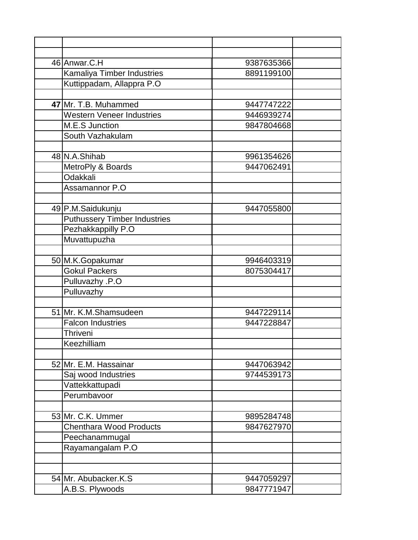| 46 Anwar.C.H                        | 9387635366 |
|-------------------------------------|------------|
| Kamaliya Timber Industries          | 8891199100 |
| Kuttippadam, Allappra P.O           |            |
|                                     |            |
| 47 Mr. T.B. Muhammed                | 9447747222 |
| <b>Western Veneer Industries</b>    | 9446939274 |
| M.E.S Junction                      | 9847804668 |
| South Vazhakulam                    |            |
|                                     |            |
| 48 N.A.Shihab                       | 9961354626 |
| MetroPly & Boards                   | 9447062491 |
| Odakkali                            |            |
| Assamannor P.O                      |            |
|                                     |            |
| 49 P.M.Saidukunju                   | 9447055800 |
| <b>Puthussery Timber Industries</b> |            |
| Pezhakkappilly P.O                  |            |
| Muvattupuzha                        |            |
|                                     |            |
| 50 M.K.Gopakumar                    | 9946403319 |
| <b>Gokul Packers</b>                | 8075304417 |
| Pulluvazhy .P.O                     |            |
| Pulluvazhy                          |            |
|                                     |            |
| 51 Mr. K.M.Shamsudeen               | 9447229114 |
| <b>Falcon Industries</b>            | 9447228847 |
| Thriveni                            |            |
| Keezhilliam                         |            |
|                                     |            |
| 52 Mr. E.M. Hassainar               | 9447063942 |
| Saj wood Industries                 | 9744539173 |
| Vattekkattupadi                     |            |
| Perumbavoor                         |            |
|                                     |            |
| 53 Mr. C.K. Ummer                   | 9895284748 |
| <b>Chenthara Wood Products</b>      | 9847627970 |
| Peechanammugal                      |            |
| Rayamangalam P.O                    |            |
|                                     |            |
|                                     |            |
| 54 Mr. Abubacker.K.S                | 9447059297 |
| A.B.S. Plywoods                     | 9847771947 |